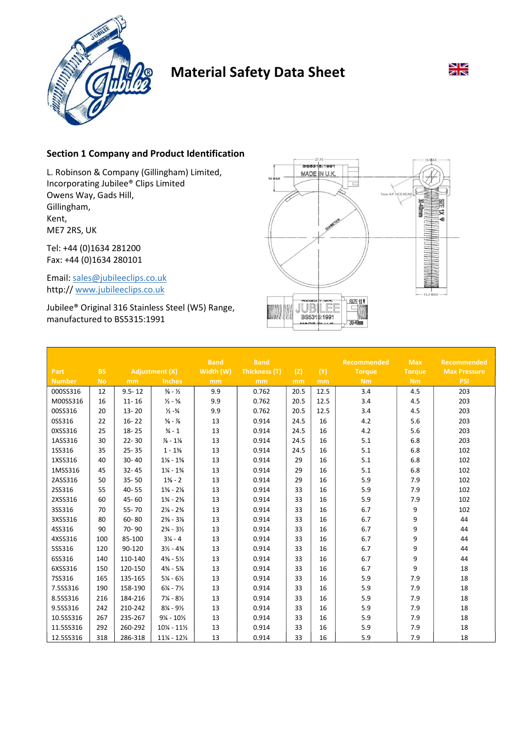

# Material Safety Data Sheet



# Section 1 Company and Product Identification

L. Robinson & Company (Gillingham) Limited, Incorporating Jubilee® Clips Limited Owens Way, Gads Hill, Gillingham, Kent, ME7 2RS, UK

Tel: +44 (0)1634 281200 Fax: +44 (0)1634 280101

Email: sales@jubileeclips.co.uk http:// www.jubileeclips.co.uk

Jubilee® Original 316 Stainless Steel (W5) Range, manufactured to BS5315:1991



|               |           |            |                                  | <b>Band</b> | <b>Band</b>   |      |      | <b>Recommended</b> | <b>Max</b>    | <b>Recommended</b>  |
|---------------|-----------|------------|----------------------------------|-------------|---------------|------|------|--------------------|---------------|---------------------|
| Part,         | <b>BS</b> |            | <b>Adjustment (X)</b>            | Width (W)   | Thickness (T) | (Z)  | (Y)  | <b>Torque</b>      | <b>Torque</b> | <b>Max Pressure</b> |
| <b>Number</b> | <b>No</b> | mm         | <b>Inches</b>                    | mm          | mm            | mm   | mm   | <b>Nm</b>          | <b>Nm</b>     | <b>PSI</b>          |
| 000SS316      | 12        | $9.5 - 12$ | $\frac{3}{8} - \frac{1}{2}$      | 9.9         | 0.762         | 20.5 | 12.5 | 3.4                | 4.5           | 203                 |
| M00SS316      | 16        | $11 - 16$  | $\frac{1}{2} - \frac{5}{8}$      | 9.9         | 0.762         | 20.5 | 12.5 | 3.4                | 4.5           | 203                 |
| 00SS316       | 20        | $13 - 20$  | $\frac{1}{2} - \frac{3}{4}$      | 9.9         | 0.762         | 20.5 | 12.5 | 3.4                | 4.5           | 203                 |
| 0SS316        | 22        | $16 - 22$  | $\frac{5}{8}$ - $\frac{7}{8}$    | 13          | 0.914         | 24.5 | 16   | 4.2                | 5.6           | 203                 |
| 0XSS316       | 25        | 18-25      | $\frac{3}{4} - 1$                | 13          | 0.914         | 24.5 | 16   | 4.2                | 5.6           | 203                 |
| 1ASS316       | 30        | $22 - 30$  | $\frac{7}{8} - 1\frac{1}{8}$     | 13          | 0.914         | 24.5 | 16   | 5.1                | 6.8           | 203                 |
| 1SS316        | 35        | $25 - 35$  | $1 - 1\%$                        | 13          | 0.914         | 24.5 | 16   | 5.1                | 6.8           | 102                 |
| 1XSS316       | 40        | $30 - 40$  | $1\frac{1}{8} - 1\frac{5}{8}$    | 13          | 0.914         | 29   | 16   | 5.1                | 6.8           | 102                 |
| 1MSS316       | 45        | $32 - 45$  | $1\frac{1}{4}$ - $1\frac{3}{4}$  | 13          | 0.914         | 29   | 16   | 5.1                | 6.8           | 102                 |
| 2ASS316       | 50        | $35 - 50$  | $1\frac{3}{8} - 2$               | 13          | 0.914         | 29   | 16   | 5.9                | 7.9           | 102                 |
| 2SS316        | 55        | 40-55      | $1\% - 2\%$                      | 13          | 0.914         | 33   | 16   | 5.9                | 7.9           | 102                 |
| 2XSS316       | 60        | 45-60      | $1\% - 2\%$                      | 13          | 0.914         | 33   | 16   | 5.9                | 7.9           | 102                 |
| 3SS316        | 70        | $55 - 70$  | $2\frac{1}{8}$ - $2\frac{3}{4}$  | 13          | 0.914         | 33   | 16   | 6.7                | 9             | 102                 |
| 3XSS316       | 80        | 60-80      | $2\frac{3}{8} - 3\frac{1}{8}$    | 13          | 0.914         | 33   | 16   | 6.7                | 9             | 44                  |
| 4SS316        | 90        | 70-90      | $2\frac{3}{4} - 3\frac{1}{2}$    | 13          | 0.914         | 33   | 16   | 6.7                | 9             | 44                  |
| 4XSS316       | 100       | 85-100     | $3\frac{1}{4} - 4$               | 13          | 0.914         | 33   | 16   | 6.7                | 9             | 44                  |
| 5SS316        | 120       | 90-120     | $3\frac{1}{2} - 4\frac{3}{4}$    | 13          | 0.914         | 33   | 16   | 6.7                | 9             | 44                  |
| 6SS316        | 140       | 110-140    | $4\frac{3}{8}$ - 5 $\frac{1}{2}$ | 13          | 0.914         | 33   | 16   | 6.7                | 9             | 44                  |
| 6XSS316       | 150       | 120-150    | $4\frac{3}{4}$ - 5%              | 13          | 0.914         | 33   | 16   | 6.7                | 9             | 18                  |
| 7SS316        | 165       | 135-165    | $5\% - 6\%$                      | 13          | 0.914         | 33   | 16   | 5.9                | 7.9           | 18                  |
| 7.5SS316      | 190       | 158-190    | $6\frac{1}{4} - 7\frac{1}{2}$    | 13          | 0.914         | 33   | 16   | 5.9                | 7.9           | 18                  |
| 8.5SS316      | 216       | 184-216    | $7\frac{1}{4} - 8\frac{1}{2}$    | 13          | 0.914         | 33   | 16   | 5.9                | 7.9           | 18                  |
| 9.5SS316      | 242       | 210-242    | $8\% - 9\%$                      | 13          | 0.914         | 33   | 16   | 5.9                | 7.9           | 18                  |
| 10.5SS316     | 267       | 235-267    | $9\% - 10\%$                     | 13          | 0.914         | 33   | 16   | 5.9                | 7.9           | 18                  |
| 11.5SS316     | 292       | 260-292    | $10\% - 11\%$                    | 13          | 0.914         | 33   | 16   | 5.9                | 7.9           | 18                  |
| 12.5SS316     | 318       | 286-318    | $11\frac{1}{4} - 12\frac{1}{2}$  | 13          | 0.914         | 33   | 16   | 5.9                | 7.9           | 18                  |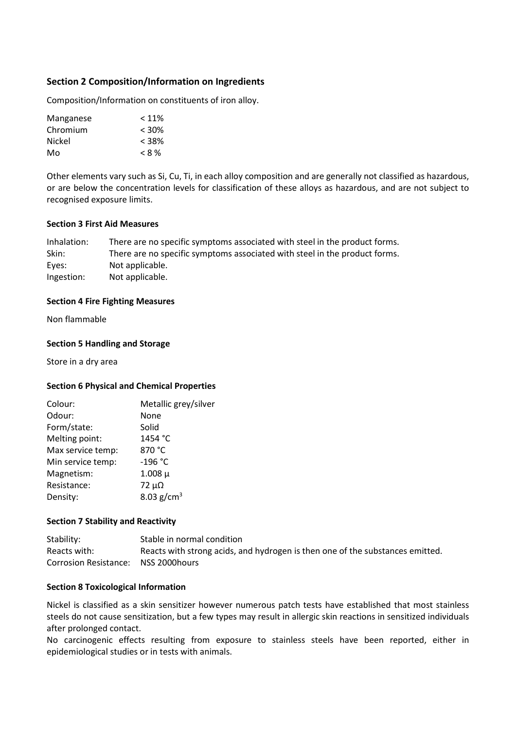# Section 2 Composition/Information on Ingredients

Composition/Information on constituents of iron alloy.

| Manganese | $< 11\%$ |
|-----------|----------|
| Chromium  | $< 30\%$ |
| Nickel    | $< 38\%$ |
| Mo        | $< 8\%$  |

Other elements vary such as Si, Cu, Ti, in each alloy composition and are generally not classified as hazardous, or are below the concentration levels for classification of these alloys as hazardous, and are not subject to recognised exposure limits.

## Section 3 First Aid Measures

| Inhalation: | There are no specific symptoms associated with steel in the product forms. |
|-------------|----------------------------------------------------------------------------|
| Skin:       | There are no specific symptoms associated with steel in the product forms. |
| Eyes:       | Not applicable.                                                            |
| Ingestion:  | Not applicable.                                                            |

#### Section 4 Fire Fighting Measures

Non flammable

#### Section 5 Handling and Storage

Store in a dry area

## Section 6 Physical and Chemical Properties

| Metallic grey/silver |
|----------------------|
| None                 |
| Solid                |
| 1454 °C              |
| 870 °C               |
| $-196 °C$            |
| $1.008 \mu$          |
| $72 \mu\Omega$       |
| 8.03 $g/cm^{3}$      |
|                      |

#### Section 7 Stability and Reactivity

Stability: Stable in normal condition Reacts with: Reacts with strong acids, and hydrogen is then one of the substances emitted. Corrosion Resistance: NSS 2000hours

## Section 8 Toxicological Information

Nickel is classified as a skin sensitizer however numerous patch tests have established that most stainless steels do not cause sensitization, but a few types may result in allergic skin reactions in sensitized individuals after prolonged contact.

No carcinogenic effects resulting from exposure to stainless steels have been reported, either in epidemiological studies or in tests with animals.